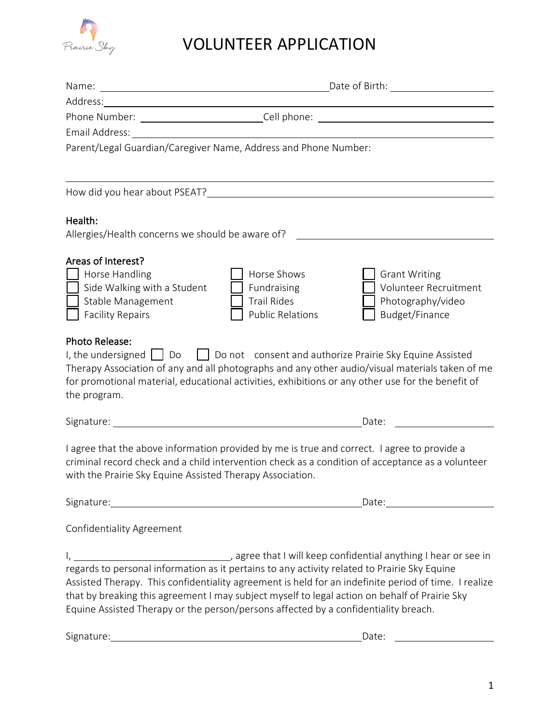

## VOLUNTEER APPLICATION

| Name:                                                        | Date of Birth:<br><u> 1980 - Johann Barn, mars eta bainar eta baina eta baina eta baina eta baina eta baina eta baina eta baina e</u>                                                                                                |
|--------------------------------------------------------------|--------------------------------------------------------------------------------------------------------------------------------------------------------------------------------------------------------------------------------------|
| Address:                                                     |                                                                                                                                                                                                                                      |
| Phone Number: _________________________________Cell phone: _ | <u>and the state of the state of the state of the state of the state of the state of the state of the state of the state of the state of the state of the state of the state of the state of the state of the state of the state</u> |
| Email Address:                                               |                                                                                                                                                                                                                                      |
|                                                              | Parent/Legal Guardian/Caregiver Name, Address and Phone Number:                                                                                                                                                                      |
|                                                              |                                                                                                                                                                                                                                      |
|                                                              |                                                                                                                                                                                                                                      |
| Health:                                                      |                                                                                                                                                                                                                                      |
| Allergies/Health concerns we should be aware of?             |                                                                                                                                                                                                                                      |
| Areas of Interest?                                           |                                                                                                                                                                                                                                      |
| Horse Handling                                               | Horse Shows<br><b>Grant Writing</b>                                                                                                                                                                                                  |
| Side Walking with a Student                                  | <b>Volunteer Recruitment</b><br>Fundraising                                                                                                                                                                                          |
| Stable Management                                            | <b>Trail Rides</b><br>Photography/video                                                                                                                                                                                              |
| <b>Facility Repairs</b>                                      | <b>Public Relations</b><br>Budget/Finance                                                                                                                                                                                            |
| <b>Photo Release:</b>                                        |                                                                                                                                                                                                                                      |
|                                                              | I, the undersigned $\begin{pmatrix} 1 & 0 & 1 \\ 0 & 1 & 0 \end{pmatrix}$ Do not consent and authorize Prairie Sky Equine Assisted                                                                                                   |
|                                                              | Therapy Association of any and all photographs and any other audio/visual materials taken of me                                                                                                                                      |
|                                                              | for promotional material, educational activities, exhibitions or any other use for the benefit of                                                                                                                                    |
| the program.                                                 |                                                                                                                                                                                                                                      |
| Signature:                                                   | <u> 1980 - Johann Barbara, martxa amerikan personal (h. 1980).</u><br>Date:                                                                                                                                                          |
|                                                              | I agree that the above information provided by me is true and correct. I agree to provide a                                                                                                                                          |
|                                                              | criminal record check and a child intervention check as a condition of acceptance as a volunteer                                                                                                                                     |
| with the Prairie Sky Equine Assisted Therapy Association.    |                                                                                                                                                                                                                                      |
|                                                              | Date: Date:                                                                                                                                                                                                                          |
| <b>Confidentiality Agreement</b>                             |                                                                                                                                                                                                                                      |
|                                                              |                                                                                                                                                                                                                                      |
|                                                              |                                                                                                                                                                                                                                      |
|                                                              | Assisted Therapy. This confidentiality agreement is held for an indefinite period of time. I realize                                                                                                                                 |
|                                                              | that by breaking this agreement I may subject myself to legal action on behalf of Prairie Sky                                                                                                                                        |
|                                                              | Equine Assisted Therapy or the person/persons affected by a confidentiality breach.                                                                                                                                                  |
|                                                              |                                                                                                                                                                                                                                      |
| Signature:                                                   | Date:<br><u> 1989 - Johann Stoff, deutscher Stoffen und der Stoffen und der Stoffen und der Stoffen und der Stoffen und der</u>                                                                                                      |